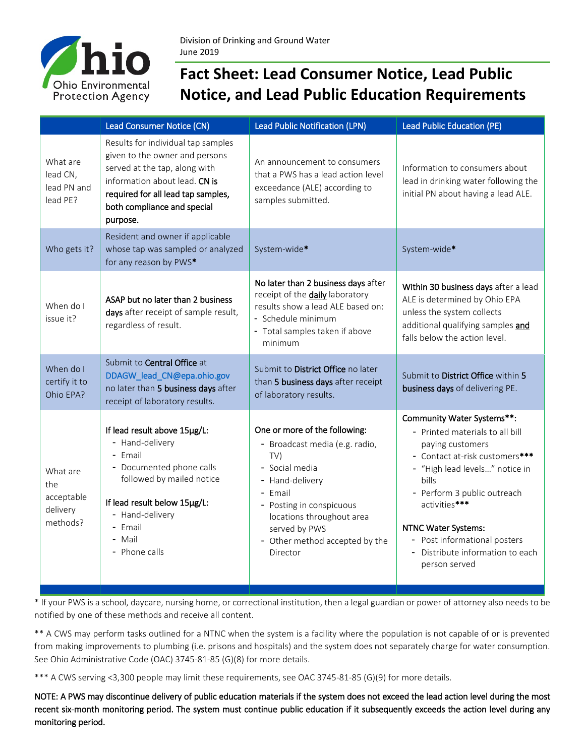

## **Fact Sheet: Lead Consumer Notice, Lead Public Notice, and Lead Public Education Requirements**

|                                                       | Lead Consumer Notice (CN)                                                                                                                                                                                               | <b>Lead Public Notification (LPN)</b>                                                                                                                                                                                                          | <b>Lead Public Education (PE)</b>                                                                                                                                                                                                                                                                                               |
|-------------------------------------------------------|-------------------------------------------------------------------------------------------------------------------------------------------------------------------------------------------------------------------------|------------------------------------------------------------------------------------------------------------------------------------------------------------------------------------------------------------------------------------------------|---------------------------------------------------------------------------------------------------------------------------------------------------------------------------------------------------------------------------------------------------------------------------------------------------------------------------------|
| What are<br>lead CN,<br>lead PN and<br>lead PE?       | Results for individual tap samples<br>given to the owner and persons<br>served at the tap, along with<br>information about lead. CN is<br>required for all lead tap samples,<br>both compliance and special<br>purpose. | An announcement to consumers<br>that a PWS has a lead action level<br>exceedance (ALE) according to<br>samples submitted.                                                                                                                      | Information to consumers about<br>lead in drinking water following the<br>initial PN about having a lead ALE.                                                                                                                                                                                                                   |
| Who gets it?                                          | Resident and owner if applicable<br>whose tap was sampled or analyzed<br>for any reason by PWS*                                                                                                                         | System-wide*                                                                                                                                                                                                                                   | System-wide*                                                                                                                                                                                                                                                                                                                    |
| When do I<br>issue it?                                | ASAP but no later than 2 business<br>days after receipt of sample result,<br>regardless of result.                                                                                                                      | No later than 2 business days after<br>receipt of the <b>daily</b> laboratory<br>results show a lead ALE based on:<br>- Schedule minimum<br>- Total samples taken if above<br>minimum                                                          | Within 30 business days after a lead<br>ALE is determined by Ohio EPA<br>unless the system collects<br>additional qualifying samples and<br>falls below the action level.                                                                                                                                                       |
| When do I<br>certify it to<br>Ohio EPA?               | Submit to Central Office at<br>DDAGW_lead_CN@epa.ohio.gov<br>no later than 5 business days after<br>receipt of laboratory results.                                                                                      | Submit to District Office no later<br>than 5 business days after receipt<br>of laboratory results.                                                                                                                                             | Submit to District Office within 5<br>business days of delivering PE.                                                                                                                                                                                                                                                           |
| What are<br>the<br>acceptable<br>delivery<br>methods? | If lead result above 15µg/L:<br>- Hand-delivery<br>- Email<br>- Documented phone calls<br>followed by mailed notice<br>If lead result below 15µg/L:<br>- Hand-delivery<br>- Email<br>- Mail<br>- Phone calls            | One or more of the following:<br>- Broadcast media (e.g. radio,<br>TV)<br>- Social media<br>- Hand-delivery<br>- Email<br>- Posting in conspicuous<br>locations throughout area<br>served by PWS<br>- Other method accepted by the<br>Director | Community Water Systems**:<br>- Printed materials to all bill<br>paying customers<br>- Contact at-risk customers***<br>- "High lead levels" notice in<br>bills<br>- Perform 3 public outreach<br>activities***<br><b>NTNC Water Systems:</b><br>- Post informational posters<br>Distribute information to each<br>person served |

\* If your PWS is a school, daycare, nursing home, or correctional institution, then a legal guardian or power of attorney also needs to be notified by one of these methods and receive all content.

\*\* A CWS may perform tasks outlined for a NTNC when the system is a facility where the population is not capable of or is prevented from making improvements to plumbing (i.e. prisons and hospitals) and the system does not separately charge for water consumption. See Ohio Administrative Code (OAC) 3745-81-85 (G)(8) for more details.

\*\*\* A CWS serving <3,300 people may limit these requirements, see OAC 3745-81-85 (G)(9) for more details.

NOTE: A PWS may discontinue delivery of public education materials if the system does not exceed the lead action level during the most recent six-month monitoring period. The system must continue public education if it subsequently exceeds the action level during any monitoring period.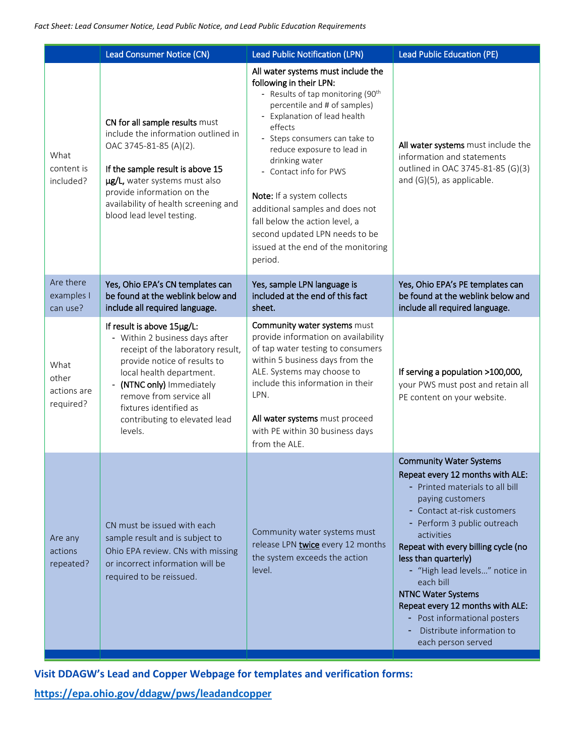|                                           | Lead Consumer Notice (CN)                                                                                                                                                                                                                                                                   | <b>Lead Public Notification (LPN)</b>                                                                                                                                                                                                                                                                                                                                                                                                                                                       | <b>Lead Public Education (PE)</b>                                                                                                                                                                                                                                                                                                                                                                                                                                   |
|-------------------------------------------|---------------------------------------------------------------------------------------------------------------------------------------------------------------------------------------------------------------------------------------------------------------------------------------------|---------------------------------------------------------------------------------------------------------------------------------------------------------------------------------------------------------------------------------------------------------------------------------------------------------------------------------------------------------------------------------------------------------------------------------------------------------------------------------------------|---------------------------------------------------------------------------------------------------------------------------------------------------------------------------------------------------------------------------------------------------------------------------------------------------------------------------------------------------------------------------------------------------------------------------------------------------------------------|
| What<br>content is<br>included?           | CN for all sample results must<br>include the information outlined in<br>OAC 3745-81-85 (A)(2).<br>If the sample result is above 15<br>ug/L, water systems must also<br>provide information on the<br>availability of health screening and<br>blood lead level testing.                     | All water systems must include the<br>following in their LPN:<br>- Results of tap monitoring (90 <sup>th</sup><br>percentile and # of samples)<br>- Explanation of lead health<br>effects<br>- Steps consumers can take to<br>reduce exposure to lead in<br>drinking water<br>- Contact info for PWS<br>Note: If a system collects<br>additional samples and does not<br>fall below the action level, a<br>second updated LPN needs to be<br>issued at the end of the monitoring<br>period. | All water systems must include the<br>information and statements<br>outlined in OAC 3745-81-85 (G)(3)<br>and (G)(5), as applicable.                                                                                                                                                                                                                                                                                                                                 |
| Are there<br>examples I<br>can use?       | Yes, Ohio EPA's CN templates can<br>be found at the weblink below and<br>include all required language.                                                                                                                                                                                     | Yes, sample LPN language is<br>included at the end of this fact<br>sheet.                                                                                                                                                                                                                                                                                                                                                                                                                   | Yes, Ohio EPA's PE templates can<br>be found at the weblink below and<br>include all required language.                                                                                                                                                                                                                                                                                                                                                             |
| What<br>other<br>actions are<br>required? | If result is above 15µg/L:<br>- Within 2 business days after<br>receipt of the laboratory result,<br>provide notice of results to<br>local health department.<br>- (NTNC only) Immediately<br>remove from service all<br>fixtures identified as<br>contributing to elevated lead<br>levels. | Community water systems must<br>provide information on availability<br>of tap water testing to consumers<br>within 5 business days from the<br>ALE. Systems may choose to<br>include this information in their<br>LPN.<br>All water systems must proceed<br>with PE within 30 business days<br>from the ALE.                                                                                                                                                                                | If serving a population >100,000,<br>your PWS must post and retain all<br>PE content on your website.                                                                                                                                                                                                                                                                                                                                                               |
| Are any<br>actions<br>repeated?           | CN must be issued with each<br>sample result and is subject to<br>Ohio EPA review. CNs with missing<br>or incorrect information will be<br>required to be reissued.                                                                                                                         | Community water systems must<br>release LPN twice every 12 months<br>the system exceeds the action<br>level.                                                                                                                                                                                                                                                                                                                                                                                | <b>Community Water Systems</b><br>Repeat every 12 months with ALE:<br>- Printed materials to all bill<br>paying customers<br>- Contact at-risk customers<br>Perform 3 public outreach<br>activities<br>Repeat with every billing cycle (no<br>less than quarterly)<br>- "High lead levels" notice in<br>each bill<br><b>NTNC Water Systems</b><br>Repeat every 12 months with ALE:<br>Post informational posters<br>Distribute information to<br>each person served |

**Visit DDAGW's Lead and Copper Webpage for templates and verification forms:**

**<https://epa.ohio.gov/ddagw/pws/leadandcopper>**